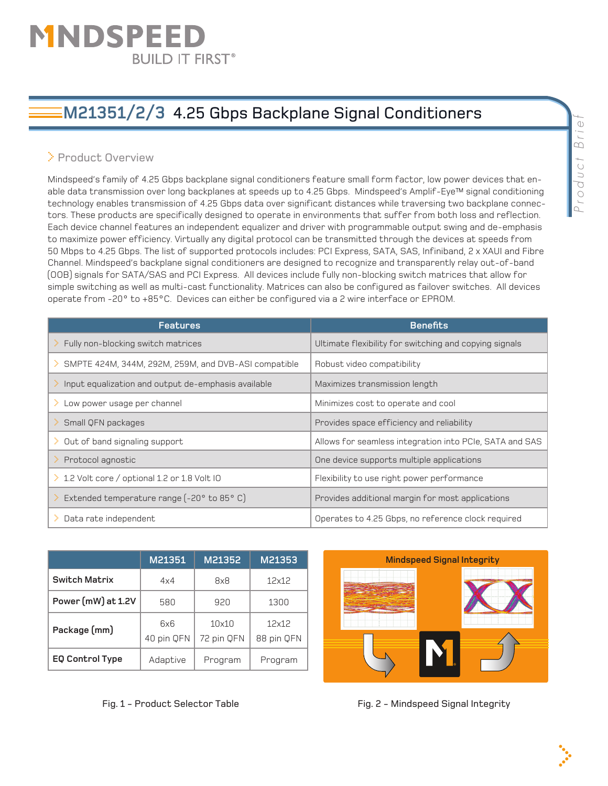# MNDSPEEI **BUILD IT FIRST®**

## **M21351/2/3** 4.25 Gbps Backplane Signal Conditioners

### > Product Overview

Mindspeed's family of 4.25 Gbps backplane signal conditioners feature small form factor, low power devices that enable data transmission over long backplanes at speeds up to 4.25 Gbps. Mindspeed's Amplif-Eye™ signal conditioning technology enables transmission of 4.25 Gbps data over significant distances while traversing two backplane connectors. These products are specifically designed to operate in environments that suffer from both loss and reflection. Each device channel features an independent equalizer and driver with programmable output swing and de-emphasis to maximize power efficiency. Virtually any digital protocol can be transmitted through the devices at speeds from 50 Mbps to 4.25 Gbps. The list of supported protocols includes: PCI Express, SATA, SAS, Infiniband, 2 x XAUI and Fibre Channel. Mindspeed's backplane signal conditioners are designed to recognize and transparently relay out-of-band (OOB) signals for SATA/SAS and PCI Express. All devices include fully non-blocking switch matrices that allow for simple switching as well as multi-cast functionality. Matrices can also be configured as failover switches. All devices operate from -20° to +85°C. Devices can either be configured via a 2 wire interface or EPROM.

| <b>Features</b>                                           | <b>Benefits</b>                                         |  |
|-----------------------------------------------------------|---------------------------------------------------------|--|
| Fully non-blocking switch matrices                        | Ultimate flexibility for switching and copying signals  |  |
| SMPTE 424M, 344M, 292M, 259M, and DVB-ASI compatible      | Robust video compatibility                              |  |
| Input equalization and output de-emphasis available<br>D. | Maximizes transmission length                           |  |
| Low power usage per channel<br>⋗.                         | Minimizes cost to operate and cool                      |  |
| Small QFN packages<br>⋗                                   | Provides space efficiency and reliability               |  |
| Out of band signaling support<br>>                        | Allows for seamless integration into PCIe, SATA and SAS |  |
| Protocol agnostic                                         | One device supports multiple applications               |  |
| 1.2 Volt core / optional 1.2 or 1.8 Volt IO               | Flexibility to use right power performance              |  |
| Extended temperature range (-20° to 85° C)                | Provides additional margin for most applications        |  |
| Data rate independent                                     | Operates to 4.25 Gbps, no reference clock required      |  |

|                        | M21351            | M21352              | M21353              |
|------------------------|-------------------|---------------------|---------------------|
| <b>Switch Matrix</b>   | 4x4               | 8x8                 | 12x12               |
| Power (mW) at 1.2V     | 580               | 920                 | 1300                |
| Package (mm)           | 6x6<br>40 pin QFN | 10x10<br>72 pin QFN | 12x12<br>88 pin QFN |
| <b>EQ Control Type</b> | Adaptive          | Program             | Program             |